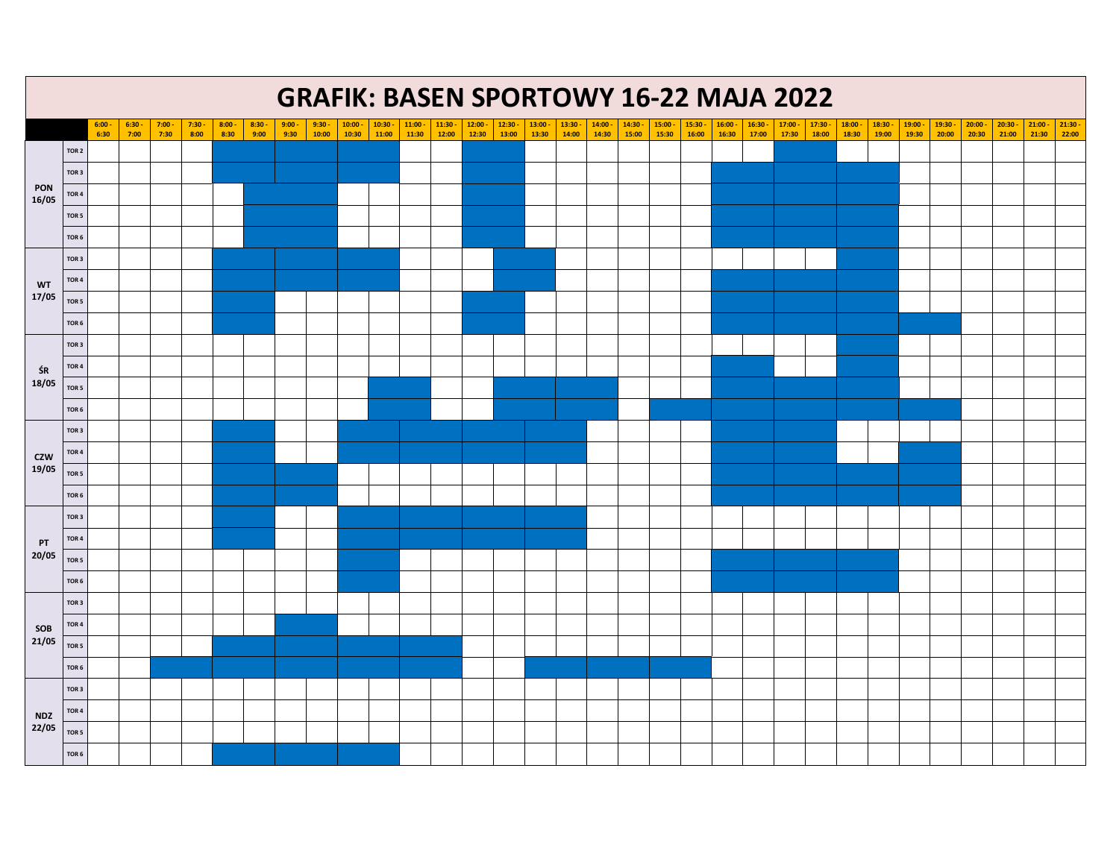